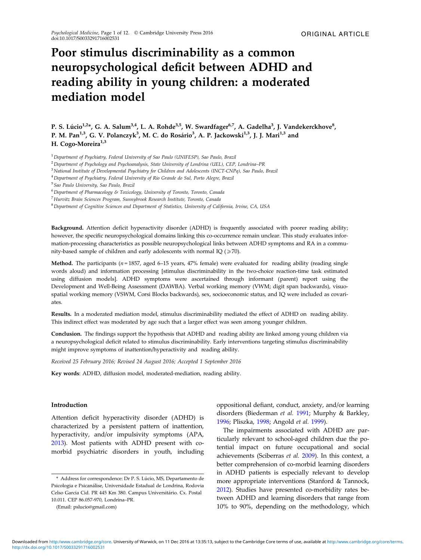# Poor stimulus discriminability as a common neuropsychological deficit between ADHD and reading ability in young children: a moderated mediation model

P. S. Lúcio<sup>1,2</sup>\*, G. A. Salum<sup>3,4</sup>, L. A. Rohde<sup>3,5</sup>, W. Swardfager<sup>6,7</sup>, A. Gadelha<sup>3</sup>, J. Vandekerckhove<sup>8</sup>, P. M. Pan<sup>1,3</sup>, G. V. Polanczyk<sup>3</sup>, M. C. do Rosário<sup>3</sup>, A. P. Jackowski<sup>1,3</sup>, J. J. Mari<sup>1,3</sup> and H. Cogo-Moreira<sup>1,3</sup>

<sup>1</sup> Department of Psychiatry, Federal University of Sao Paulo (UNIFESP), Sao Paulo, Brazil

<sup>2</sup> Department of Psychology and Psychoanalysis, State University of Londrina (UEL), CEP, Londrina–PR

<sup>3</sup>National Institute of Developmental Psychiatry for Children and Adolescents (INCT-CNPq), Sao Paulo, Brazil

<sup>4</sup>Department of Psychiatry, Federal University of Rio Grande do Sul, Porto Alegre, Brazil

<sup>5</sup>Sao Paulo University, Sao Paulo, Brazil

<sup>6</sup>Department of Pharmacology & Toxicology, University of Toronto, Toronto, Canada

<sup>7</sup>Hurvitz Brain Sciences Program, Sunnybrook Research Institute, Toronto, Canada

<sup>8</sup>Department of Cognitive Sciences and Department of Statistics, University of California, Irvine, CA, USA

Background. Attention deficit hyperactivity disorder (ADHD) is frequently associated with poorer reading ability; however, the specific neuropsychological domains linking this co-occurrence remain unclear. This study evaluates information-processing characteristics as possible neuropsychological links between ADHD symptoms and RA in a community-based sample of children and early adolescents with normal IQ ( $\geq$  70).

Method. The participants ( $n = 1857$ , aged 6-15 years, 47% female) were evaluated for reading ability (reading single words aloud) and information processing [stimulus discriminability in the two-choice reaction-time task estimated using diffusion models]. ADHD symptoms were ascertained through informant (parent) report using the Development and Well-Being Assessment (DAWBA). Verbal working memory (VWM; digit span backwards), visuospatial working memory (VSWM, Corsi Blocks backwards), sex, socioeconomic status, and IQ were included as covariates.

Results. In a moderated mediation model, stimulus discriminability mediated the effect of ADHD on reading ability. This indirect effect was moderated by age such that a larger effect was seen among younger children.

Conclusion. The findings support the hypothesis that ADHD and reading ability are linked among young children via a neuropsychological deficit related to stimulus discriminability. Early interventions targeting stimulus discriminability might improve symptoms of inattention/hyperactivity and reading ability.

Received 25 February 2016; Revised 24 August 2016; Accepted 1 September 2016

Key words: ADHD, diffusion model, moderated-mediation, reading ability.

## Introduction

Attention deficit hyperactivity disorder (ADHD) is characterized by a persistent pattern of inattention, hyperactivity, and/or impulsivity symptoms (APA, [2013\)](#page-9-0). Most patients with ADHD present with comorbid psychiatric disorders in youth, including

(Email: pslucio@gmail.com)

oppositional defiant, conduct, anxiety, and/or learning disorders (Biederman et al. [1991](#page-9-0); Murphy & Barkley, [1996;](#page-10-0) Pliszka, [1998](#page-10-0); Angold et al. [1999](#page-9-0)).

The impairments associated with ADHD are particularly relevant to school-aged children due the potential impact on future occupational and social achievements (Sciberras et al. [2009](#page-11-0)). In this context, a better comprehension of co-morbid learning disorders in ADHD patients is especially relevant to develop more appropriate interventions (Stanford & Tannock, [2012\)](#page-11-0). Studies have presented co-morbidity rates between ADHD and learning disorders that range from 10% to 90%, depending on the methodology, which

<sup>\*</sup> Address for correspondence: Dr P. S. Lúcio, MS, Departamento de Psicologia e Psicanálise, Universidade Estadual de Londrina, Rodovia Celso Garcia Cid. PR 445 Km 380. Campus Universitário. Cx. Postal 10.011. CEP 86.057-970, Londrina–PR.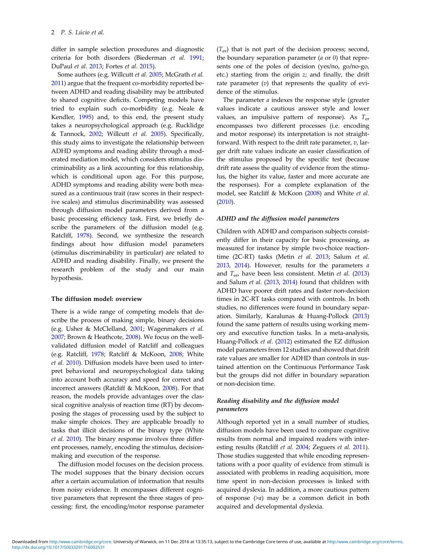differ in sample selection procedures and diagnostic criteria for both disorders (Biederman et al. [1991](#page-9-0); DuPaul et al. [2013;](#page-9-0) Fortes et al. [2015\)](#page-9-0).

Some authors (e.g. Willcutt et al. [2005](#page-11-0); McGrath et al. [2011\)](#page-10-0) argue that the frequent co-morbidity reported between ADHD and reading disability may be attributed to shared cognitive deficits. Competing models have tried to explain such co-morbidity (e.g. Neale & Kendler, [1995\)](#page-10-0) and, to this end, the present study takes a neuropsychological approach (e.g. Rucklidge & Tannock, [2002](#page-10-0); Willcutt et al. [2005\)](#page-11-0). Specifically, this study aims to investigate the relationship between ADHD symptoms and reading ability through a moderated mediation model, which considers stimulus discriminability as a link accounting for this relationship, which is conditional upon age. For this purpose, ADHD symptoms and reading ability were both measured as a continuous trait (raw scores in their respective scales) and stimulus discriminability was assessed through diffusion model parameters derived from a basic processing efficiency task. First, we briefly describe the parameters of the diffusion model (e.g. Ratcliff, [1978\)](#page-10-0). Second, we synthesize the research findings about how diffusion model parameters (stimulus discriminability in particular) are related to ADHD and reading disability. Finally, we present the research problem of the study and our main hypothesis.

## The diffusion model: overview

There is a wide range of competing models that describe the process of making simple, binary decisions (e.g. Usher & McClelland, [2001](#page-11-0); Wagenmakers et al. [2007;](#page-11-0) Brown & Heathcote, [2008\)](#page-9-0). We focus on the wellvalidated diffusion model of Ratcliff and colleagues (e.g. Ratcliff, [1978](#page-10-0); Ratcliff & McKoon, [2008;](#page-10-0) White et al. [2010\)](#page-11-0). Diffusion models have been used to interpret behavioral and neuropsychological data taking into account both accuracy and speed for correct and incorrect answers (Ratcliff & McKoon, [2008](#page-10-0)). For that reason, the models provide advantages over the classical cognitive analysis of reaction time (RT) by decomposing the stages of processing used by the subject to make simple choices. They are applicable broadly to tasks that illicit decisions of the binary type (White et al. [2010](#page-11-0)). The binary response involves three different processes, namely, encoding the stimulus, decisionmaking and execution of the response.

The diffusion model focuses on the decision process. The model supposes that the binary decision occurs after a certain accumulation of information that results from noisy evidence. It encompasses different cognitive parameters that represent the three stages of processing: first, the encoding/motor response parameter  $(T_{\text{er}})$  that is not part of the decision process; second, the boundary separation parameter  $(a \text{ or } 0)$  that represents one of the poles of decision (yes/no, go/no-go, etc.) starting from the origin z; and finally, the drift rate parameter  $(v)$  that represents the quality of evidence of the stimulus.

The parameter  $a$  indexes the response style (greater values indicate a cautious answer style and lower values, an impulsive pattern of response). As  $T_{\text{er}}$ encompasses two different processes (i.e. encoding and motor response) its interpretation is not straightforward. With respect to the drift rate parameter,  $v$ , larger drift rate values indicate an easier classification of the stimulus proposed by the specific test (because drift rate assess the quality of evidence from the stimulus, the higher its value, faster and more accurate are the responses). For a complete explanation of the model, see Ratcliff & McKoon [\(2008](#page-10-0)) and White et al. ([2010\)](#page-11-0).

# ADHD and the diffusion model parameters

Children with ADHD and comparison subjects consistently differ in their capacity for basic processing, as measured for instance by simple two-choice reaction-time (2C-RT) tasks (Metin et al. [2013](#page-10-0); Salum et al. [2013,](#page-10-0) [2014](#page-10-0)). However, results for the parameters a and  $T_{\text{er}}$ , have been less consistent. Metin *et al.* ([2013\)](#page-10-0) and Salum et al. ([2013,](#page-10-0) [2014](#page-10-0)) found that children with ADHD have poorer drift rates and faster non-decision times in 2C-RT tasks compared with controls. In both studies, no differences were found in boundary separation. Similarly, Karalunas & Huang-Pollock ([2013\)](#page-10-0) found the same pattern of results using working memory and executive function tasks. In a meta-analysis, Huang-Pollock et al. ([2012\)](#page-10-0) estimated the EZ diffusion model parameters from 12 studies and showed that drift rate values are smaller for ADHD than controls in sustained attention on the Continuous Performance Task but the groups did not differ in boundary separation or non-decision time.

# Reading disability and the diffusion model parameters

Although reported yet in a small number of studies, diffusion models have been used to compare cognitive results from normal and impaired readers with inter-esting results (Ratcliff et al. [2004;](#page-10-0) Zeguers et al. [2011](#page-11-0)). Those studies suggested that while encoding representations with a poor quality of evidence from stimuli is associated with problems in reading acquisition, more time spent in non-decision processes is linked with acquired dyslexia. In addition, a more cautious pattern of response  $(a)$  may be a common deficit in both acquired and developmental dyslexia.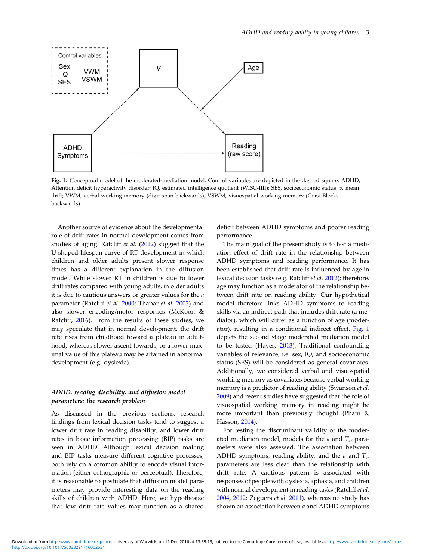<span id="page-2-0"></span>

Fig. 1. Conceptual model of the moderated-mediation model. Control variables are depicted in the dashed square. ADHD, Attention deficit hyperactivity disorder; IQ, estimated intelligence quotient (WISC-IIII); SES, socioeconomic status; v, mean drift; VWM, verbal working memory (digit span backwards); VSWM, visuospatial working memory (Corsi Blocks backwards).

Another source of evidence about the developmental role of drift rates in normal development comes from studies of aging. Ratcliff et al. ([2012\)](#page-10-0) suggest that the U-shaped lifespan curve of RT development in which children and older adults present slower response times has a different explanation in the diffusion model. While slower RT in children is due to lower drift rates compared with young adults, in older adults it is due to cautious answers or greater values for the  $a$ parameter (Ratcliff et al. [2000](#page-10-0); Thapar et al. [2003](#page-11-0)) and also slower encoding/motor responses (McKoon & Ratcliff, [2016](#page-10-0)). From the results of these studies, we may speculate that in normal development, the drift rate rises from childhood toward a plateau in adulthood, whereas slower ascent towards, or a lower maximal value of this plateau may be attained in abnormal development (e.g. dyslexia).

# ADHD, reading disability, and diffusion model parameters: the research problem

As discussed in the previous sections, research findings from lexical decision tasks tend to suggest a lower drift rate in reading disability, and lower drift rates in basic information processing (BIP) tasks are seen in ADHD. Although lexical decision making and BIP tasks measure different cognitive processes, both rely on a common ability to encode visual information (either orthographic or perceptual). Therefore, it is reasonable to postulate that diffusion model parameters may provide interesting data on the reading skills of children with ADHD. Here, we hypothesize that low drift rate values may function as a shared

deficit between ADHD symptoms and poorer reading performance.

The main goal of the present study is to test a mediation effect of drift rate in the relationship between ADHD symptoms and reading performance. It has been established that drift rate is influenced by age in lexical decision tasks (e.g. Ratcliff et al. [2012\)](#page-10-0); therefore, age may function as a moderator of the relationship between drift rate on reading ability. Our hypothetical model therefore links ADHD symptoms to reading skills via an indirect path that includes drift rate (a mediator), which will differ as a function of age (moderator), resulting in a conditional indirect effect. Fig. 1 depicts the second stage moderated mediation model to be tested (Hayes, [2013\)](#page-10-0). Traditional confounding variables of relevance, i.e. sex, IQ, and socioeconomic status (SES) will be considered as general covariates. Additionally, we considered verbal and visuospatial working memory as covariates because verbal working memory is a predictor of reading ability (Swanson et al. [2009\)](#page-11-0) and recent studies have suggested that the role of visuospatial working memory in reading might be more important than previously thought (Pham & Hasson, [2014](#page-10-0)).

For testing the discriminant validity of the moderated mediation model, models for the  $a$  and  $T_{er}$  parameters were also assessed. The association between ADHD symptoms, reading ability, and the  $a$  and  $T_{er}$ parameters are less clear than the relationship with drift rate. A cautious pattern is associated with responses of people with dyslexia, aphasia, and children with normal development in reading tasks (Ratcliff et al. [2004,](#page-10-0) [2012;](#page-10-0) Zeguers et al. [2011](#page-11-0)), whereas no study has shown an association between a and ADHD symptoms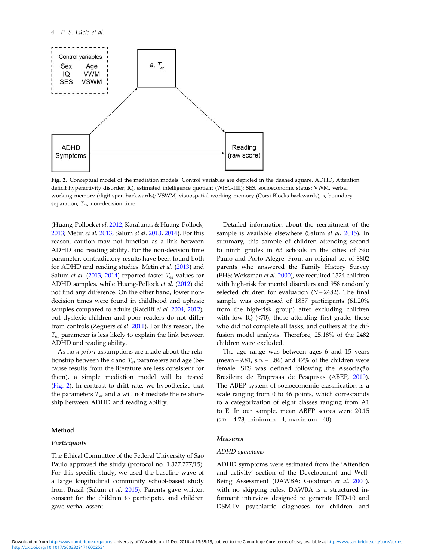<span id="page-3-0"></span>

Fig. 2. Conceptual model of the mediation models. Control variables are depicted in the dashed square. ADHD, Attention deficit hyperactivity disorder; IQ, estimated intelligence quotient (WISC-IIII); SES, socioeconomic status; VWM, verbal working memory (digit span backwards); VSWM, visuospatial working memory (Corsi Blocks backwards); a, boundary separation;  $T_{\text{ev}}$  non-decision time.

(Huang-Pollock et al. [2012;](#page-10-0) Karalunas & Huang-Pollock, [2013;](#page-10-0) Metin et al. [2013;](#page-10-0) Salum et al. [2013](#page-10-0), [2014](#page-10-0)). For this reason, caution may not function as a link between ADHD and reading ability. For the non-decision time parameter, contradictory results have been found both for ADHD and reading studies. Metin et al. ([2013\)](#page-10-0) and Salum et al. [\(2013](#page-10-0), [2014\)](#page-10-0) reported faster  $T_{\text{er}}$  values for ADHD samples, while Huang-Pollock et al. [\(2012](#page-10-0)) did not find any difference. On the other hand, lower nondecision times were found in childhood and aphasic samples compared to adults (Ratcliff et al. [2004](#page-10-0), [2012](#page-10-0)), but dyslexic children and poor readers do not differ from controls (Zeguers et al. [2011\)](#page-11-0). For this reason, the  $T_{\text{er}}$  parameter is less likely to explain the link between ADHD and reading ability.

As no a priori assumptions are made about the relationship between the  $a$  and  $T_{er}$  parameters and age (because results from the literature are less consistent for them), a simple mediation model will be tested (Fig. 2). In contrast to drift rate, we hypothesize that the parameters  $T_{\text{er}}$  and  $a$  will not mediate the relationship between ADHD and reading ability.

## Method

# Participants

The Ethical Committee of the Federal University of Sao Paulo approved the study (protocol no. 1.327.777/15). For this specific study, we used the baseline wave of a large longitudinal community school-based study from Brazil (Salum et al. [2015](#page-10-0)). Parents gave written consent for the children to participate, and children gave verbal assent.

Detailed information about the recruitment of the sample is available elsewhere (Salum et al. [2015](#page-10-0)). In summary, this sample of children attending second to ninth grades in 63 schools in the cities of São Paulo and Porto Alegre. From an original set of 8802 parents who answered the Family History Survey (FHS; Weissman et al. [2000](#page-11-0)), we recruited 1524 children with high-risk for mental disorders and 958 randomly selected children for evaluation ( $N = 2482$ ). The final sample was composed of 1857 participants (61.20% from the high-risk group) after excluding children with low IQ (<70), those attending first grade, those who did not complete all tasks, and outliers at the diffusion model analysis. Therefore, 25.18% of the 2482 children were excluded.

The age range was between ages 6 and 15 years (mean =  $9.81$ , s.p. =  $1.86$ ) and  $47\%$  of the children were female. SES was defined following the Associação Brasileira de Empresas de Pesquisas (ABEP, [2010](#page-9-0)). The ABEP system of socioeconomic classification is a scale ranging from 0 to 46 points, which corresponds to a categorization of eight classes ranging from A1 to E. In our sample, mean ABEP scores were 20.15  $(s.D. = 4.73, minimum = 4, maximum = 40).$ 

# Measures

## ADHD symptoms

ADHD symptoms were estimated from the 'Attention and activity' section of the Development and Well-Being Assessment (DAWBA; Goodman et al. [2000](#page-10-0)), with no skipping rules. DAWBA is a structured informant interview designed to generate ICD-10 and DSM-IV psychiatric diagnoses for children and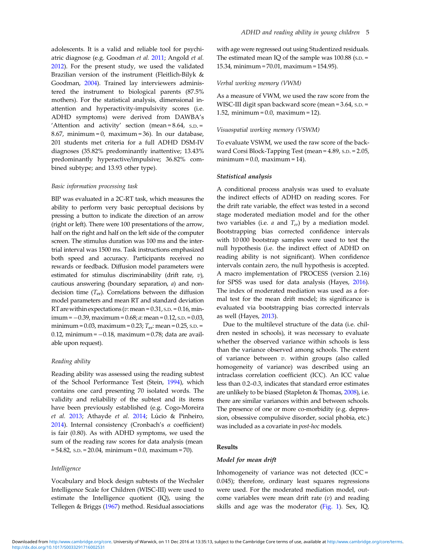adolescents. It is a valid and reliable tool for psychiatric diagnose (e.g. Goodman et al. [2011](#page-10-0); Angold et al. [2012\)](#page-9-0). For the present study, we used the validated Brazilian version of the instrument (Fleitlich-Bilyk & Goodman, [2004](#page-10-0)). Trained lay interviewers administered the instrument to biological parents (87.5% mothers). For the statistical analysis, dimensional inattention and hyperactivity-impulsivity scores (i.e. ADHD symptoms) were derived from DAWBA's 'Attention and activity' section (mean =  $8.64$ , s.p. = 8.67, minimum = 0, maximum = 36). In our database, 201 students met criteria for a full ADHD DSM-IV diagnoses (35.82% predominantly inattentive; 13.43% predominantly hyperactive/impulsive; 36.82% combined subtype; and 13.93 other type).

## Basic information processing task

BIP was evaluated in a 2C-RT task, which measures the ability to perform very basic perceptual decisions by pressing a button to indicate the direction of an arrow (right or left). There were 100 presentations of the arrow, half on the right and half on the left side of the computer screen. The stimulus duration was 100 ms and the intertrial interval was 1500 ms. Task instructions emphasized both speed and accuracy. Participants received no rewards or feedback. Diffusion model parameters were estimated for stimulus discriminability (drift rate,  $v$ ), cautious answering (boundary separation, a) and nondecision time  $(T_{er})$ . Correlations between the diffusion model parameters and mean RT and standard deviation RT are within expectations ( $v:$  mean = 0.31, s.p. = 0.16, minimum =  $-0.39$ , maximum =  $0.68$ ; *a*: mean =  $0.12$ , s.p. =  $0.03$ , minimum =  $0.03$ , maximum =  $0.23$ ;  $T_{\text{er}}$ : mean =  $0.25$ , s.p. = 0.12, minimum =  $-0.18$ , maximum = 0.78; data are available upon request).

## Reading ability

Reading ability was assessed using the reading subtest of the School Performance Test (Stein, [1994\)](#page-11-0), which contains one card presenting 70 isolated words. The validity and reliability of the subtest and its items have been previously established (e.g. Cogo-Moreira et al. [2013](#page-9-0); Athayde et al. [2014](#page-9-0); Lúcio & Pinheiro, [2014\)](#page-10-0). Internal consistency (Cronbach's  $\alpha$  coefficient) is fair (0.80). As with ADHD symptoms, we used the sum of the reading raw scores for data analysis (mean  $= 54.82$ , s.p.  $= 20.04$ , minimum  $= 0.0$ , maximum  $= 70$ ).

## Intelligence

Vocabulary and block design subtests of the Wechsler Intelligence Scale for Children (WISC-III) were used to estimate the Intelligence quotient (IQ), using the Tellegen & Briggs ([1967\)](#page-11-0) method. Residual associations with age were regressed out using Studentized residuals. The estimated mean IO of the sample was  $100.88$  (s.p.  $=$ 15.34, minimum = 70.01, maximum = 154.95).

## Verbal working memory (VWM)

As a measure of VWM, we used the raw score from the WISC-III digit span backward score (mean = 3.64, s.p. = 1.52, minimum = 0.0, maximum = 12).

#### Visuospatial working memory (VSWM)

To evaluate VSWM, we used the raw score of the backward Corsi Block-Tapping Test (mean = 4.89, S.D. = 2.05,  $minimum = 0.0$ ,  $maximum = 14$ ).

## Statistical analysis

A conditional process analysis was used to evaluate the indirect effects of ADHD on reading scores. For the drift rate variable, the effect was tested in a second stage moderated mediation model and for the other two variables (i.e.  $a$  and  $T_{er}$ ) by a mediation model. Bootstrapping bias corrected confidence intervals with 10 000 bootstrap samples were used to test the null hypothesis (i.e. the indirect effect of ADHD on reading ability is not significant). When confidence intervals contain zero, the null hypothesis is accepted. A macro implementation of PROCESS (version 2.16) for SPSS was used for data analysis (Hayes, [2016](#page-10-0)). The index of moderated mediation was used as a formal test for the mean drift model; its significance is evaluated via bootstrapping bias corrected intervals as well (Hayes, [2013](#page-10-0)).

Due to the multilevel structure of the data (i.e. children nested in schools), it was necessary to evaluate whether the observed variance within schools is less than the variance observed among schools. The extent of variance between  $v$ . within groups (also called homogeneity of variance) was described using an intraclass correlation coefficient (ICC). An ICC value less than 0.2–0.3, indicates that standard error estimates are unlikely to be biased (Stapleton & Thomas, [2008\)](#page-11-0), i.e. there are similar variances within and between schools. The presence of one or more co-morbidity (e.g. depression, obsessive compulsive disorder, social phobia, etc.) was included as a covariate in post-hoc models.

## Results

## Model for mean drift

Inhomogeneity of variance was not detected (ICC = 0.045); therefore, ordinary least squares regressions were used. For the moderated mediation model, outcome variables were mean drift rate  $(v)$  and reading skills and age was the moderator [\(Fig. 1](#page-2-0)). Sex, IQ,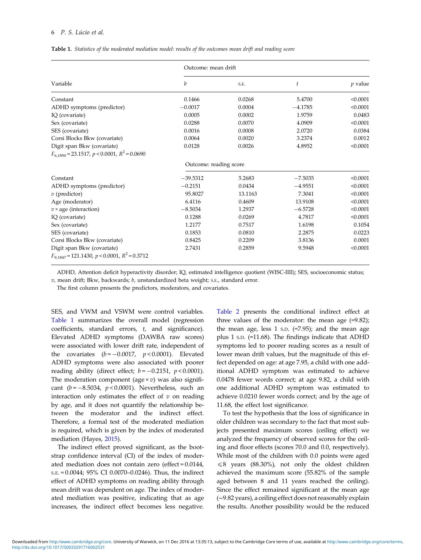## 6 P. S. Lúcio et al.

|  | <b>Table 1.</b> Statistics of the moderated mediation model: results of the outcomes mean drift and reading score |  |  |  |  |  |  |  |  |  |  |  |
|--|-------------------------------------------------------------------------------------------------------------------|--|--|--|--|--|--|--|--|--|--|--|
|--|-------------------------------------------------------------------------------------------------------------------|--|--|--|--|--|--|--|--|--|--|--|

|                                                              | Outcome: mean drift    |         |                |           |  |  |  |  |
|--------------------------------------------------------------|------------------------|---------|----------------|-----------|--|--|--|--|
| Variable                                                     | b                      | S.E.    | $\mathfrak{t}$ | $p$ value |  |  |  |  |
| Constant                                                     | 0.1466                 | 0.0268  | 5.4700         | < 0.0001  |  |  |  |  |
| ADHD symptoms (predictor)                                    | $-0.0017$              | 0.0004  | $-4.1785$      | < 0.0001  |  |  |  |  |
| IQ (covariate)                                               | 0.0005                 | 0.0002  | 1.9759         | 0.0483    |  |  |  |  |
| Sex (covariate)                                              | 0.0288                 | 0.0070  | 4.0909         | < 0.0001  |  |  |  |  |
| SES (covariate)                                              | 0.0016                 | 0.0008  | 2.0720         | 0.0384    |  |  |  |  |
| Corsi Blocks Bkw (covariate)                                 | 0.0064                 | 0.0020  | 3.2374         | 0.0012    |  |  |  |  |
| Digit span Bkw (covariate)                                   | 0.0128                 | 0.0026  | 4.8952         | < 0.0001  |  |  |  |  |
| $F_{6.1850}$ = 23.1517, p < 0.0001, R <sup>2</sup> = 0.0690  |                        |         |                |           |  |  |  |  |
|                                                              | Outcome: reading score |         |                |           |  |  |  |  |
| Constant                                                     | $-39.5312$             | 5.2683  | $-7.5035$      | < 0.0001  |  |  |  |  |
| ADHD symptoms (predictor)                                    | $-0.2151$              | 0.0434  | $-4.9551$      | < 0.0001  |  |  |  |  |
| $v$ (predictor)                                              | 95.8027                | 13.1163 | 7.3041         | < 0.0001  |  |  |  |  |
| Age (moderator)                                              | 6.4116                 | 0.4609  | 13.9108        | < 0.0001  |  |  |  |  |
| $v \times$ age (interaction)                                 | $-8.5034$              | 1.2937  | $-6.5728$      | < 0.0001  |  |  |  |  |
| IQ (covariate)                                               | 0.1288                 | 0.0269  | 4.7817         | < 0.0001  |  |  |  |  |
| Sex (covariate)                                              | 1.2177                 | 0.7517  | 1.6198         | 0.1054    |  |  |  |  |
| SES (covariate)                                              | 0.1853                 | 0.0810  | 2.2875         | 0.0223    |  |  |  |  |
| Corsi Blocks Bkw (covariate)                                 | 0.8425                 | 0.2209  | 3.8136         | 0.0001    |  |  |  |  |
| Digit span Bkw (covariate)                                   | 2.7431                 | 0.2859  | 9.5948         | < 0.0001  |  |  |  |  |
| $F_{9.1847}$ = 121.1430, p < 0.0001, R <sup>2</sup> = 0.3712 |                        |         |                |           |  |  |  |  |

ADHD, Attention deficit hyperactivity disorder; IQ, estimated intelligence quotient (WISC-IIII); SES, socioeconomic status;

 $v$ , mean drift; Bkw, backwards;  $b$ , unstandardized beta weight; s.e., standard error.

The first column presents the predictors, moderators, and covariates.

SES, and VWM and VSWM were control variables. Table 1 summarizes the overall model (regression coefficients, standard errors, t, and significance). Elevated ADHD symptoms (DAWBA raw scores) were associated with lower drift rate, independent of the covariates  $(b = -0.0017, p < 0.0001)$ . Elevated ADHD symptoms were also associated with poorer reading ability (direct effect;  $b = -0.2151$ ,  $p < 0.0001$ ). The moderation component (age  $\times v$ ) was also significant ( $b = -8.5034$ ,  $p < 0.0001$ ). Nevertheless, such an interaction only estimates the effect of  $v$  on reading by age, and it does not quantify the relationship between the moderator and the indirect effect. Therefore, a formal test of the moderated mediation is required, which is given by the index of moderated mediation (Hayes, [2015](#page-10-0)).

The indirect effect proved significant, as the bootstrap confidence interval (CI) of the index of moderated mediation does not contain zero (effect = 0.0144, S.E. = 0.0044; 95% CI 0.0070–0.0246). Thus, the indirect effect of ADHD symptoms on reading ability through mean drift was dependent on age. The index of moderated mediation was positive, indicating that as age increases, the indirect effect becomes less negative.

[Table 2](#page-6-0) presents the conditional indirect effect at three values of the moderator: the mean age  $(=9.82)$ ; the mean age, less  $1$  s.p.  $(=7.95)$ ; and the mean age plus 1 S.D. (=11.68). The findings indicate that ADHD symptoms led to poorer reading scores as a result of lower mean drift values, but the magnitude of this effect depended on age: at age 7.95, a child with one additional ADHD symptom was estimated to achieve 0.0478 fewer words correct; at age 9.82, a child with one additional ADHD symptom was estimated to achieve 0.0210 fewer words correct; and by the age of 11.68, the effect lost significance.

To test the hypothesis that the loss of significance in older children was secondary to the fact that most subjects presented maximum scores (ceiling effect) we analyzed the frequency of observed scores for the ceiling and floor effects (scores 70.0 and 0.0, respectively). While most of the children with 0.0 points were aged  $\leq 8$  years (88.30%), not only the oldest children achieved the maximum score (55.82% of the sample aged between 8 and 11 years reached the ceiling). Since the effect remained significant at the mean age (∼9.82 years), a ceiling effect does not reasonably explain the results. Another possibility would be the reduced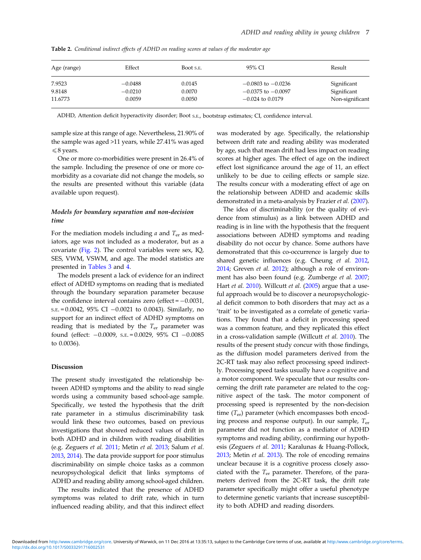| Age (range) | Effect    | Boot s.e. | 95% CI                 | Result          |  |
|-------------|-----------|-----------|------------------------|-----------------|--|
| 7.9523      | $-0.0488$ | 0.0145    | $-0.0803$ to $-0.0236$ | Significant     |  |
| 9.8148      | $-0.0210$ | 0.0070    | $-0.0375$ to $-0.0097$ | Significant     |  |
| 11.6773     | 0.0059    | 0.0050    | $-0.024$ to 0.0179     | Non-significant |  |

<span id="page-6-0"></span>Table 2. Conditional indirect effects of ADHD on reading scores at values of the moderator age

ADHD, Attention deficit hyperactivity disorder; Boot S.E., bootstrap estimates; CI, confidence interval.

sample size at this range of age. Nevertheless, 21.90% of the sample was aged >11 years, while 27.41% was aged  $\leq 8$  years.

One or more co-morbidities were present in 26.4% of the sample. Including the presence of one or more comorbidity as a covariate did not change the models, so the results are presented without this variable (data available upon request).

# Models for boundary separation and non-decision time

For the mediation models including  $a$  and  $T_{\text{er}}$  as mediators, age was not included as a moderator, but as a covariate ([Fig. 2\)](#page-3-0). The control variables were sex, IQ, SES, VWM, VSWM, and age. The model statistics are presented in [Tables 3](#page-7-0) and [4](#page-8-0).

The models present a lack of evidence for an indirect effect of ADHD symptoms on reading that is mediated through the boundary separation parameter because the confidence interval contains zero (effect = <sup>−</sup>0.0031, S.E. = 0.0042, 95% CI  $-0.0021$  to 0.0043). Similarly, no support for an indirect effect of ADHD symptoms on reading that is mediated by the  $T_{er}$  parameter was found (effect: −0.0009, S.E. = 0.0029, 95% CI −0.0085 to 0.0036).

## Discussion

The present study investigated the relationship between ADHD symptoms and the ability to read single words using a community based school-age sample. Specifically, we tested the hypothesis that the drift rate parameter in a stimulus discriminability task would link these two outcomes, based on previous investigations that showed reduced values of drift in both ADHD and in children with reading disabilities (e.g. Zeguers et al. [2011](#page-11-0); Metin et al. [2013;](#page-10-0) Salum et al. [2013](#page-10-0), [2014](#page-10-0)). The data provide support for poor stimulus discriminability on simple choice tasks as a common neuropsychological deficit that links symptoms of ADHD and reading ability among school-aged children.

The results indicated that the presence of ADHD symptoms was related to drift rate, which in turn influenced reading ability, and that this indirect effect

was moderated by age. Specifically, the relationship between drift rate and reading ability was moderated by age, such that mean drift had less impact on reading scores at higher ages. The effect of age on the indirect effect lost significance around the age of 11, an effect unlikely to be due to ceiling effects or sample size. The results concur with a moderating effect of age on the relationship between ADHD and academic skills demonstrated in a meta-analysis by Frazier et al. ([2007](#page-10-0)).

The idea of discriminability (or the quality of evidence from stimulus) as a link between ADHD and reading is in line with the hypothesis that the frequent associations between ADHD symptoms and reading disability do not occur by chance. Some authors have demonstrated that this co-occurrence is largely due to shared genetic influences (e.g. Cheung et al. [2012](#page-9-0), [2014;](#page-9-0) Greven et al. [2012](#page-10-0)); although a role of environment has also been found (e.g. Zumberge et al. [2007](#page-11-0); Hart et al. [2010](#page-10-0)). Willcutt et al. [\(2005](#page-11-0)) argue that a useful approach would be to discover a neuropsychological deficit common to both disorders that may act as a 'trait' to be investigated as a correlate of genetic variations. They found that a deficit in processing speed was a common feature, and they replicated this effect in a cross-validation sample (Willcutt et al. [2010](#page-11-0)). The results of the present study concur with those findings, as the diffusion model parameters derived from the 2C-RT task may also reflect processing speed indirectly. Processing speed tasks usually have a cognitive and a motor component. We speculate that our results concerning the drift rate parameter are related to the cognitive aspect of the task. The motor component of processing speed is represented by the non-decision time  $(T_{\text{er}})$  parameter (which encompasses both encoding process and response output). In our sample,  $T_{er}$ parameter did not function as a mediator of ADHD symptoms and reading ability, confirming our hypothesis (Zeguers et al. [2011;](#page-11-0) Karalunas & Huang-Pollock, [2013;](#page-10-0) Metin et al. [2013](#page-10-0)). The role of encoding remains unclear because it is a cognitive process closely associated with the  $T_{er}$  parameter. Therefore, of the parameters derived from the 2C-RT task, the drift rate parameter specifically might offer a useful phenotype to determine genetic variants that increase susceptibility to both ADHD and reading disorders.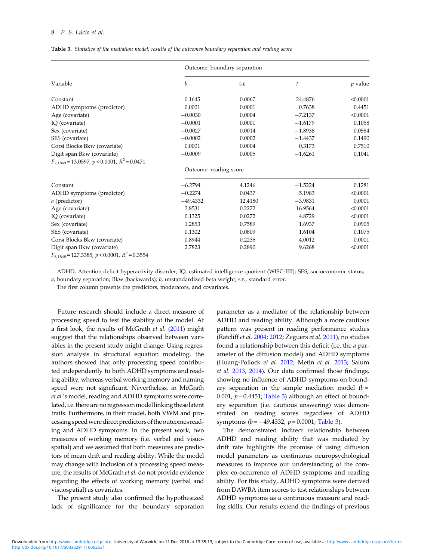# <span id="page-7-0"></span>8 P. S. Lúcio et al.

| <b>Table 3.</b> Statistics of the mediation model: results of the outcomes boundary separation and reading score |  |  |  |  |  |
|------------------------------------------------------------------------------------------------------------------|--|--|--|--|--|
|                                                                                                                  |  |  |  |  |  |

|                                                                                 | Outcome: boundary separation |         |           |             |  |  |  |  |  |
|---------------------------------------------------------------------------------|------------------------------|---------|-----------|-------------|--|--|--|--|--|
| Variable                                                                        | b                            | S.E.    | t         | $\nu$ value |  |  |  |  |  |
| Constant                                                                        | 0.1645                       | 0.0067  | 24.4876   | < 0.0001    |  |  |  |  |  |
| ADHD symptoms (predictor)                                                       | 0.0001                       | 0.0001  | 0.7638    | 0.4451      |  |  |  |  |  |
| Age (covariate)                                                                 | $-0.0030$                    | 0.0004  | $-7.2137$ | < 0.0001    |  |  |  |  |  |
| IQ (covariate)                                                                  | $-0.0001$                    | 0.0001  | $-1.6179$ | 0.1058      |  |  |  |  |  |
| Sex (covariate)                                                                 | $-0.0027$                    | 0.0014  | $-1.8938$ | 0.0584      |  |  |  |  |  |
| SES (covariate)                                                                 | $-0.0002$                    | 0.0002  | $-1.4437$ | 0.1490      |  |  |  |  |  |
| Corsi Blocks Bkw (covariate)                                                    | 0.0001                       | 0.0004  | 0.3173    | 0.7510      |  |  |  |  |  |
| Digit span Bkw (covariate)                                                      | $-0.0009$                    | 0.0005  | $-1.6261$ | 0.1041      |  |  |  |  |  |
| $F_{7,1849}$ = 13.0597, p < 0.0001, R <sup>2</sup> = 0.0471                     |                              |         |           |             |  |  |  |  |  |
|                                                                                 | Outcome: reading score       |         |           |             |  |  |  |  |  |
| Constant                                                                        | $-6.2794$                    | 4.1246  | $-1.5224$ | 0.1281      |  |  |  |  |  |
| ADHD symptoms (predictor)                                                       | $-0.2274$                    | 0.0437  | 5.1983    | < 0.0001    |  |  |  |  |  |
| a (predictor)                                                                   | $-49.4332$                   | 12.4180 | $-3.9831$ | 0.0001      |  |  |  |  |  |
| Age (covariate)                                                                 | 3.8531                       | 0.2272  | 16.9564   | < 0.0001    |  |  |  |  |  |
| IQ (covariate)                                                                  | 0.1325                       | 0.0272  | 4.8729    | < 0.0001    |  |  |  |  |  |
| Sex (covariate)                                                                 | 1.2853                       | 0.7589  | 1.6937    | 0.0905      |  |  |  |  |  |
| SES (covariate)                                                                 | 0.1302                       | 0.0809  | 1.6104    | 0.1075      |  |  |  |  |  |
| Corsi Blocks Bkw (covariate)                                                    | 0.8944                       | 0.2235  | 4.0012    | 0.0001      |  |  |  |  |  |
| Digit span Bkw (covariate)<br>$F_{8,1848} = 127.3385, p < 0.0001, R^2 = 0.3554$ | 2.7823                       | 0.2890  | 9.6268    | < 0.0001    |  |  |  |  |  |

ADHD, Attention deficit hyperactivity disorder; IQ, estimated intelligence quotient (WISC-IIII); SES, socioeconomic status;

 $a$ , boundary separation; Bkw (backwards);  $b$ , unstandardized beta weight;  $s.E.,$  standard error.

The first column presents the predictors, moderators, and covariates.

Future research should include a direct measure of processing speed to test the stability of the model. At a first look, the results of McGrath et al. ([2011\)](#page-10-0) might suggest that the relationships observed between variables in the present study might change. Using regression analysis in structural equation modeling, the authors showed that only processing speed contributed independently to both ADHD symptoms and reading ability, whereas verbal working memory and naming speed were not significant. Nevertheless, in McGrath et al.'s model, reading and ADHD symptoms were correlated, i.e. there are no regression model linking these latent traits. Furthermore, in their model, both VWM and processing speed were direct predictors of the outcomes reading and ADHD symptoms. In the present work, two measures of working memory (i.e. verbal and visuospatial) and we assumed that both measures are predictors of mean drift and reading ability. While the model may change with inclusion of a processing speed measure, the results of McGrath et al. do not provide evidence regarding the effects of working memory (verbal and visuospatial) as covariates.

The present study also confirmed the hypothesized lack of significance for the boundary separation

parameter as a mediator of the relationship between ADHD and reading ability. Although a more cautious pattern was present in reading performance studies (Ratcliff et al. [2004](#page-10-0); [2012;](#page-10-0) Zeguers et al. [2011](#page-11-0)), no studies found a relationship between this deficit (i.e. the a parameter of the diffusion model) and ADHD symptoms (Huang-Pollock et al. [2012;](#page-10-0) Metin et al. [2013](#page-10-0); Salum et al. [2013,](#page-10-0) [2014\)](#page-10-0). Our data confirmed those findings, showing no influence of ADHD symptoms on boundary separation in the simple mediation model  $(b =$ 0.001,  $p = 0.4451$ ; Table 3) although an effect of boundary separation (i.e. cautious answering) was demonstrated on reading scores regardless of ADHD symptoms  $(b = -49.4332, p = 0.0001;$  Table 3).

The demonstrated indirect relationship between ADHD and reading ability that was mediated by drift rate highlights the promise of using diffusion model parameters as continuous neuropsychological measures to improve our understanding of the complex co-occurrence of ADHD symptoms and reading ability. For this study, ADHD symptoms were derived from DAWBA item scores to test relationships between ADHD symptoms as a continuous measure and reading skills. Our results extend the findings of previous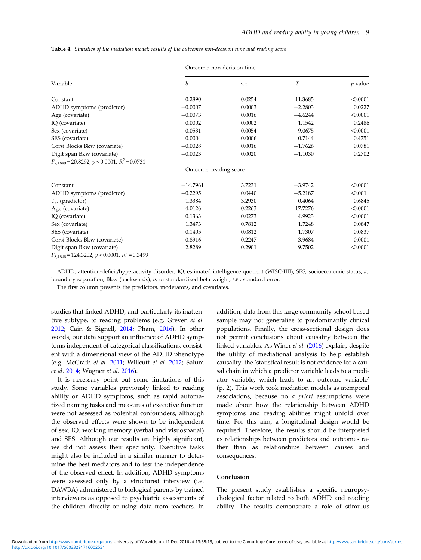<span id="page-8-0"></span>

|  |  |  |  |  |  |  |  | <b>Table 4.</b> Statistics of the mediation model: results of the outcomes non-decision time and reading score |  |  |  |
|--|--|--|--|--|--|--|--|----------------------------------------------------------------------------------------------------------------|--|--|--|
|--|--|--|--|--|--|--|--|----------------------------------------------------------------------------------------------------------------|--|--|--|

|                                                                                 |                        | Outcome: non-decision time |           |           |  |  |  |  |
|---------------------------------------------------------------------------------|------------------------|----------------------------|-----------|-----------|--|--|--|--|
| Variable                                                                        | b                      | S.E.                       | T         | $p$ value |  |  |  |  |
| Constant                                                                        | 0.2890                 | 0.0254                     | 11.3685   | < 0.0001  |  |  |  |  |
| ADHD symptoms (predictor)                                                       | $-0.0007$              | 0.0003                     | $-2.2803$ | 0.0227    |  |  |  |  |
| Age (covariate)                                                                 | $-0.0073$              | 0.0016                     | $-4.6244$ | < 0.0001  |  |  |  |  |
| IQ (covariate)                                                                  | 0.0002                 | 0.0002                     | 1.1542    | 0.2486    |  |  |  |  |
| Sex (covariate)                                                                 | 0.0531                 | 0.0054                     | 9.0675    | < 0.0001  |  |  |  |  |
| SES (covariate)                                                                 | 0.0004                 | 0.0006                     | 0.7144    | 0.4751    |  |  |  |  |
| Corsi Blocks Bkw (covariate)                                                    | $-0.0028$              | 0.0016                     | $-1.7626$ | 0.0781    |  |  |  |  |
| Digit span Bkw (covariate)                                                      | $-0.0023$              | 0.0020                     | $-1.1030$ | 0.2702    |  |  |  |  |
| $F_{7.1849} = 20.8292$ , $p < 0.0001$ , $R^2 = 0.0731$                          |                        |                            |           |           |  |  |  |  |
|                                                                                 | Outcome: reading score |                            |           |           |  |  |  |  |
| Constant                                                                        | $-14.7961$             | 3.7231                     | $-3.9742$ | < 0.0001  |  |  |  |  |
| ADHD symptoms (predictor)                                                       | $-0.2295$              | 0.0440                     | $-5.2187$ | < 0.001   |  |  |  |  |
| $T_{\rm er}$ (predictor)                                                        | 1.3384                 | 3.2930                     | 0.4064    | 0.6845    |  |  |  |  |
| Age (covariate)                                                                 | 4.0126                 | 0.2263                     | 17.7276   | < 0.0001  |  |  |  |  |
| IQ (covariate)                                                                  | 0.1363                 | 0.0273                     | 4.9923    | < 0.0001  |  |  |  |  |
| Sex (covariate)                                                                 | 1.3473                 | 0.7812                     | 1.7248    | 0.0847    |  |  |  |  |
| SES (covariate)                                                                 | 0.1405                 | 0.0812                     | 1.7307    | 0.0837    |  |  |  |  |
| Corsi Blocks Bkw (covariate)                                                    | 0.8916                 | 0.2247                     | 3.9684    | 0.0001    |  |  |  |  |
| Digit span Bkw (covariate)<br>$F_{8,1848} = 124.3202, p < 0.0001, R^2 = 0.3499$ | 2.8289                 | 0.2901                     | 9.7502    | < 0.0001  |  |  |  |  |

ADHD, attention-deficit/hyperactivity disorder; IQ, estimated intelligence quotient (WISC-IIII); SES, socioeconomic status; a, boundary separation; Bkw (backwards); b, unstandardized beta weight; S.E., standard error.

The first column presents the predictors, moderators, and covariates.

studies that linked ADHD, and particularly its inattentive subtype, to reading problems (e.g. Greven et al. [2012;](#page-10-0) Cain & Bignell, [2014;](#page-9-0) Pham, [2016\)](#page-10-0). In other words, our data support an influence of ADHD symptoms independent of categorical classifications, consistent with a dimensional view of the ADHD phenotype (e.g. McGrath et al. [2011;](#page-10-0) Willcutt et al. [2012](#page-11-0); Salum et al. [2014;](#page-10-0) Wagner et al. [2016\)](#page-11-0).

It is necessary point out some limitations of this study. Some variables previously linked to reading ability or ADHD symptoms, such as rapid automatized naming tasks and measures of executive function were not assessed as potential confounders, although the observed effects were shown to be independent of sex, IQ, working memory (verbal and visuospatial) and SES. Although our results are highly significant, we did not assess their specificity. Executive tasks might also be included in a similar manner to determine the best mediators and to test the independence of the observed effect. In addition, ADHD symptoms were assessed only by a structured interview (i.e. DAWBA) administered to biological parents by trained interviewers as opposed to psychiatric assessments of the children directly or using data from teachers. In

addition, data from this large community school-based sample may not generalize to predominantly clinical populations. Finally, the cross-sectional design does not permit conclusions about causality between the linked variables. As Winer et al. [\(2016](#page-11-0)) explain, despite the utility of mediational analysis to help establish causality, the 'statistical result is not evidence for a causal chain in which a predictor variable leads to a mediator variable, which leads to an outcome variable' (p. 2). This work took mediation models as atemporal associations, because no a priori assumptions were made about how the relationship between ADHD symptoms and reading abilities might unfold over time. For this aim, a longitudinal design would be required. Therefore, the results should be interpreted as relationships between predictors and outcomes rather than as relationships between causes and consequences.

## Conclusion

The present study establishes a specific neuropsychological factor related to both ADHD and reading ability. The results demonstrate a role of stimulus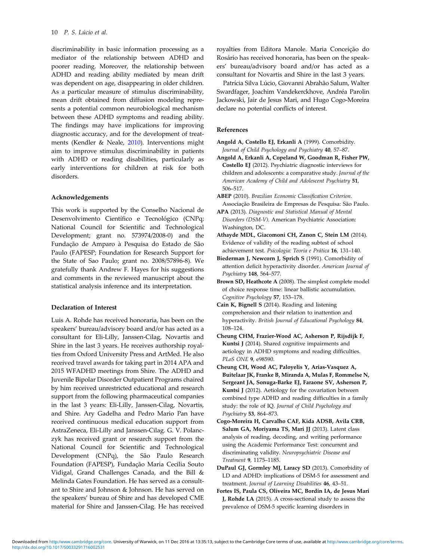<span id="page-9-0"></span>discriminability in basic information processing as a mediator of the relationship between ADHD and poorer reading. Moreover, the relationship between ADHD and reading ability mediated by mean drift was dependent on age, disappearing in older children. As a particular measure of stimulus discriminability, mean drift obtained from diffusion modeling represents a potential common neurobiological mechanism between these ADHD symptoms and reading ability. The findings may have implications for improving diagnostic accuracy, and for the development of treatments (Kendler & Neale, [2010\)](#page-10-0). Interventions might aim to improve stimulus discriminability in patients with ADHD or reading disabilities, particularly as early interventions for children at risk for both disorders.

# Acknowledgements

This work is supported by the Conselho Nacional de Desenvolvimento Científico e Tecnológico (CNPq; National Council for Scientific and Technological Development; grant no. 573974/2008-0) and the Fundação de Amparo à Pesquisa do Estado de São Paulo (FAPESP; Foundation for Research Support for the State of Sao Paulo; grant no. 2008/57896-8). We gratefully thank Andrew F. Hayes for his suggestions and comments in the reviewed manuscript about the statistical analysis inference and its interpretation.

## Declaration of Interest

Luis A. Rohde has received honoraria, has been on the speakers' bureau/advisory board and/or has acted as a consultant for Eli-Lilly, Janssen-Cilag, Novartis and Shire in the last 3 years. He receives authorship royalties from Oxford University Press and ArtMed. He also received travel awards for taking part in 2014 APA and 2015 WFADHD meetings from Shire. The ADHD and Juvenile Bipolar Disorder Outpatient Programs chaired by him received unrestricted educational and research support from the following pharmaceutical companies in the last 3 years: Eli-Lilly, Janssen-Cilag, Novartis, and Shire. Ary Gadelha and Pedro Mario Pan have received continuous medical education support from AstraZeneca, Eli-Lilly and Janssen-Cilag. G. V. Polanczyk has received grant or research support from the National Council for Scientific and Technological Development (CNPq), the São Paulo Research Foundation (FAPESP), Fundação Maria Cecilia Souto Vidigal, Grand Challenges Canada, and the Bill & Melinda Gates Foundation. He has served as a consultant to Shire and Johnson & Johnson. He has served on the speakers' bureau of Shire and has developed CME material for Shire and Janssen-Cilag. He has received

royalties from Editora Manole. Maria Conceição do Rosário has received honoraria, has been on the speakers' bureau/advisory board and/or has acted as a consultant for Novartis and Shire in the last 3 years.

Patrícia Silva Lúcio, Giovanni Abrahão Salum, Walter Swardfager, Joachim Vandekerckhove, Andréa Parolin Jackowski, Jair de Jesus Mari, and Hugo Cogo-Moreira declare no potential conflicts of interest.

# References

- Angold A, Costello EJ, Erkanli A (1999). Comorbidity. Journal of Child Psychology and Psychiatry 40, 57–87.
- Angold A, Erkanli A, Copeland W, Goodman R, Fisher PW, Costello EJ (2012). Psychiatric diagnostic interviews for children and adolescents: a comparative study. Journal of the American Academy of Child and Adolescent Psychiatry 51, 506–517.
- ABEP (2010). Brazilian Economic Classification Criterion. Associação Brasileira de Empresas de Pesquisa: São Paulo.
- APA (2013). Diagnostic and Statistical Manual of Mental Disorders (DSM-V). American Psychiatric Association: Washington, DC.
- Athayde MDL, Giacomoni CH, Zanon C, Stein LM (2014). Evidence of validity of the reading subtest of school achievement test. Psicologia: Teoria e Prática 16, 131–140.
- Biederman J, Newcorn J, Sprich S (1991). Comorbidity of attention deficit hyperactivity disorder. American Journal of Psychiatry 148, 564–577.
- Brown SD, Heathcote A (2008). The simplest complete model of choice response time: linear ballistic accumulation. Cognitive Psychology 57, 153–178.
- Cain K, Bignell S (2014). Reading and listening comprehension and their relation to inattention and hyperactivity. British Journal of Educational Psychology 84, 108–124.
- Cheung CHM, Frazier-Wood AC, Asherson P, Rijsdijk F, Kuntsi J (2014). Shared cognitive impairments and aetiology in ADHD symptoms and reading difficulties. PLoS ONE 9, e98590.
- Cheung CH, Wood AC, Paloyelis Y, Arias-Vasquez A, Buitelaar JK, Franke B, Miranda A, Mulas F, Rommelse N, Sergeant JA, Sonuga-Barke EJ, Faraone SV, Asherson P, Kuntsi J (2012). Aetiology for the covariation between combined type ADHD and reading difficulties in a family study: the role of IQ. Journal of Child Psychology and Psychiatry 53, 864–873.
- Cogo-Moreira H, Carvalho CAF, Kida ADSB, Avila CRB, Salum GA, Moriyama TS, Mari JJ (2013). Latent class analysis of reading, decoding, and writing performance using the Academic Performance Test: concurrent and discriminating validity. Neuropsychiatric Disease and Treatment 9, 1175–1185.
- DuPaul GJ, Gormley MJ, Laracy SD (2013). Comorbidity of LD and ADHD: implications of DSM-5 for assessment and treatment. Journal of Learning Disabilities 46, 43–51.
- Fortes IS, Paula CS, Oliveira MC, Bordin IA, de Jesus Mari J, Rohde LA (2015). A cross-sectional study to assess the prevalence of DSM-5 specific learning disorders in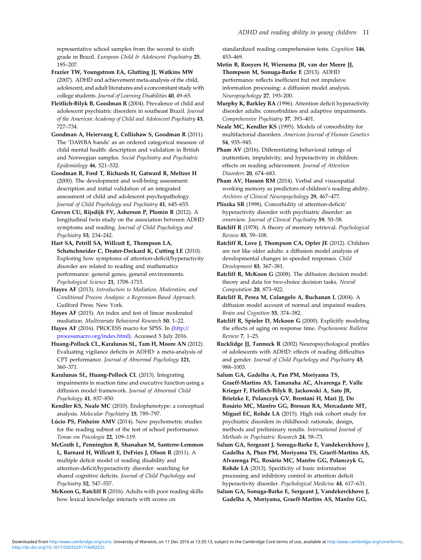<span id="page-10-0"></span>representative school samples from the second to sixth grade in Brazil. European Child & Adolescent Psychiatry 25, 195–207.

Frazier TW, Youngstrom EA, Glutting JJ, Watkins MW (2007). ADHD and achievement meta-analysis of the child, adolescent, and adult literatures and a concomitant study with college students. Journal of Learning Disabilities 40, 49–65.

Fleitlich-Bilyk B, Goodman R (2004). Prevalence of child and adolescent psychiatric disorders in southeast Brazil. Journal of the American Academy of Child and Adolescent Psychiatry 43, 727–734.

Goodman A, Heiervang E, Collishaw S, Goodman R (2011). The 'DAWBA bands' as an ordered categorical measure of child mental health: description and validation in British and Norwegian samples. Social Psychiatry and Psychiatric Epidemiology 46, 521–532.

Goodman R, Ford T, Richards H, Gatward R, Meltzer H (2000). The development and well-being assessment: description and initial validation of an integrated assessment of child and adolescent psychopathology. Journal of Child Psychology and Psychiatry 41, 645–655.

Greven CU, Rijsdijk FV, Asherson P, Plomin R (2012). A longitudinal twin study on the association between ADHD symptoms and reading. Journal of Child Psychology and Psychiatry 53, 234–242.

Hart SA, Petrill SA, Willcutt E, Thompson LA, Schatschneider C, Deater-Deckard K, Cutting LE (2010). Exploring how symptoms of attention-deficit/hyperactivity disorder are related to reading and mathematics performance: general genes, general environments. Psychological Science 21, 1708–1715.

Hayes AF (2013). Introduction to Mediation, Moderation, and Conditional Process Analysis: a Regression-Based Approach. Guilford Press: New York.

Hayes AF (2015). An index and test of linear moderated mediation. Multivariate Behavioral Research 50, 1–22.

Hayes AF (2016). PROCESS macro for SPSS. In [\(http://](http://processmacro.org/index.html) [processmacro.org/index.html](http://processmacro.org/index.html)). Accessed 5 July 2016.

Huang-Pollock CL, Karalunas SL, Tam H, Moore AN (2012). Evaluating vigilance deficits in ADHD: a meta-analysis of CPT performance. Journal of Abnormal Psychology 121, 360–371.

Karalunas SL, Huang-Pollock CL (2013). Integrating impairments in reaction time and executive function using a diffusion model framework. Journal of Abnormal Child Psychology 41, 837–850.

Kendler KS, Neale MC (2010). Endophenotype: a conceptual analysis. Molecular Psychiatry 15, 789–797.

Lúcio PS, Pinheiro AMV (2014). New psychometric studies for the reading subtest of the test of school performance. Temas em Psicologia 22, 109–119.

McGrath L, Pennington B, Shanahan M, Santerre-Lemmon L, Barnard H, Willcutt E, DeFries J, Olson R (2011). A multiple deficit model of reading disability and attention-deficit/hyperactivity disorder: searching for shared cognitive deficits. Journal of Child Psychology and Psychiatry 52, 547–557.

McKoon G, Ratcliff R (2016). Adults with poor reading skills: how lexical knowledge interacts with scores on

standardized reading comprehension tests. Cognition 146, 453–469.

Metin B, Roeyers H, Wiersema JR, van der Meere JJ, Thompson M, Sonuga-Barke E (2013). ADHD performance reflects inefficient but not impulsive information processing: a diffusion model analysis. Neuropsychology 27, 193–200.

Murphy K, Barkley RA (1996). Attention deficit hyperactivity disorder adults: comorbidities and adaptive impairments. Comprehensive Psychiatry 37, 393–401.

Neale MC, Kendler KS (1995). Models of comorbidity for multifactorial disorders. American Journal of Human Genetics 54, 935–945.

Pham AV (2016). Differentiating behavioral ratings of inattention, impulsivity, and hyperactivity in children: effects on reading achievement. Journal of Attention Disorders 20, 674–683.

Pham AV, Hasson RM (2014). Verbal and visuospatial working memory as predictors of children's reading ability. Archives of Clinical Neuropsychology 29, 467–477.

Pliszka SR (1998). Comorbidity of attention-deficit/ hyperactivity disorder with psychiatric disorder: an overview. Journal of Clinical Psychiatry 59, 50–58.

Ratcliff R (1978). A theory of memory retrieval. Psychological Review 85, 59–108.

Ratcliff R, Love J, Thompson CA, Opfer JE (2012). Children are not like older adults: a diffusion model analysis of developmental changes in speeded responses. Child Development 83, 367–381.

Ratcliff R, McKoon G (2008). The diffusion decision model: theory and data for two-choice decision tasks. Neural Computation 20, 873–922.

Ratcliff R, Perea M, Colangelo A, Buchanan L (2004). A diffusion model account of normal and impaired readers. Brain and Cognition 55, 374–382.

Ratcliff R, Spieler D, Mckoon G (2000). Explicitly modeling the effects of aging on response time. Psychonomic Bulletin Review 7, 1–25.

Rucklidge JJ, Tannock R (2002) Neuropsychological profiles of adolescents with ADHD: effects of reading difficulties and gender. Journal of Child Psychology and Psychiatry 43, 988–1003.

Salum GA, Gadelha A, Pan PM, Moriyama TS, Graeff-Martins AS, Tamanaha AC, Alvarenga P, Valle Krieger F, Fleitlich-Bilyk B, Jackowski A, Sato JR, Brietzke E, Polanczyk GV, Brentani H, Mari JJ, Do Rosário MC, Manfro GG, Bressan RA, Mercadante MT, Miguel EC, Rohde LA (2015). High risk cohort study for psychiatric disorders in childhood: rationale, design, methods and preliminary results. International Journal of Methods in Psychiatric Research 24, 58–73.

Salum GA, Sergeant J, Sonuga-Barke E, Vandekerckhove J, Gadelha A, Phan PM, Moriyama TS, Graeff-Martins AS, Alvarenga PG, Rosário MC, Manfro GG, Polanczyk G, Rohde LA (2013). Specificity of basic information processing and inhibitory control in attention deficit hyperactivity disorder. Psychological Medicine 44, 617–631.

Salum GA, Sonuga-Barke E, Sergeant J, Vandekerckhove J, Gadelha A, Moriyama, Graeff-Martins AS, Manfro GG,